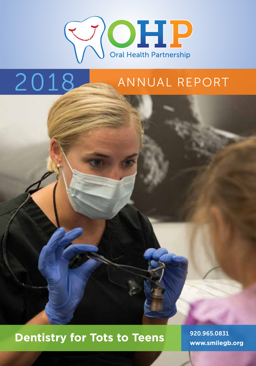

# 2018 ANNUAL REPORT

## 920.965.0831 **Dentistry for Tots to Teens www.smilegb.org**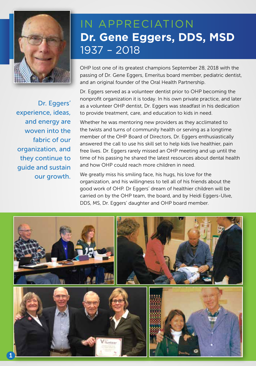

### IN APPRECIATION **Dr. Gene Eggers, DDS, MSD** 1937 – 2018

OHP lost one of its greatest champions September 28, 2018 with the passing of Dr. Gene Eggers, Emeritus board member, pediatric dentist, and an original founder of the Oral Health Partnership.

Dr. Eggers served as a volunteer dentist prior to OHP becoming the nonprofit organization it is today. In his own private practice, and later as a volunteer OHP dentist, Dr. Eggers was steadfast in his dedication to provide treatment, care, and education to kids in need.

Whether he was mentoring new providers as they acclimated to the twists and turns of community health or serving as a longtime member of the OHP Board of Directors, Dr. Eggers enthusiastically answered the call to use his skill set to help kids live healthier, pain free lives. Dr. Eggers rarely missed an OHP meeting and up until the time of his passing he shared the latest resources about dental health and how OHP could reach more children in need.

We greatly miss his smiling face, his hugs, his love for the organization, and his willingness to tell all of his friends about the good work of OHP. Dr Eggers' dream of healthier children will be carried on by the OHP team, the board, and by Heidi Eggers-Ulve, DDS, MS, Dr. Eggers' daughter and OHP board member.



Dr. Eggers' experience, ideas, and energy are woven into the fabric of our organization, and they continue to guide and sustain our growth.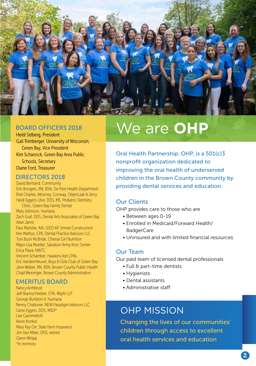

#### BOARD OFFICERS 2018

Heidi Selberg, President Gail Trimberger, University of Wisconsin, Green Bay, Vice President Kim Schanock, Green Bay Area Public Schools, Secretary Diane Ford, Treasurer

#### DIRECTORS 2018

David Bertrand, Community Erin Bongers, RN, BSN, De Pere Health Department Rob Charles, Attorney, Conway, Olejniczak & Jerry Heidi Eggers-Ulve, DDS, MS, Pediatric Dentistry Clinic, Green Bay Family Dental Mary Johnson, Humana Zach Graf, DDS, Dental Arts Associates of Green Bay Allan Jamir Paul Martzke, AIA, LEED AP, Immel Construction Ken Mathys, CPA, Dental Practice Advisors LLC Toni Bush McBride, Cheese Girl Nutrition Major Lisa Mueller, Salvation Army Kroc Center Erica Plaza, NWTC Vincent Schamber, Hawkins Ash CPAs Eric VandenHeuvel, Boys & Girls Club of Green Bay

Jane Weber, RN, BSN, Brown County Public Health Chad Weininger, Brown County Administration

#### EMERITUS BOARD

Nancy Armbrust Jeff Bramschreiber, CPA, Wipfli LLP George Burleton II, Humana Renny Challoner, NEW Paradigm Advisors LLC Gene Eggers, DDS, MSD\* Lise Gammeltoft Kevin Konkol Mary Kay Orr, State Farm Insurance Jim Van Miller, DDS, retired Glenn Whipp *\*In memory* 

## We are **OHP**

Oral Health Partnership, OHP, is a 501(c)3 nonprofit organization dedicated to improving the oral health of underserved children in the Brown County community by providing dental services and education.

#### Our Clients

OHP provides care to those who are

- Between ages 0-19
- Enrolled in Medicaid/Forward Health/ **BadgerCare**
- Uninsured and with limited financial resources

#### Our Team

Our paid team of licensed dental professionals

- Full & part-time dentists
- Hygienists
- Dental assistants
- Administrative staff

### OHP MISSION

Changing the lives of our communities' children through access to excellent oral health services and education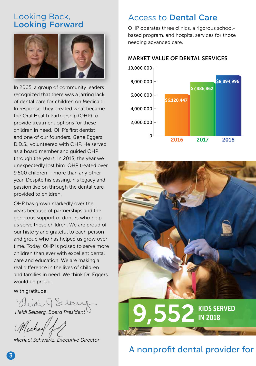### Looking Back, Looking Forward



In 2005, a group of community leaders recognized that there was a jarring lack of dental care for children on Medicaid. In response, they created what became the Oral Health Partnership (OHP) to provide treatment options for these children in need. OHP's first dentist and one of our founders, Gene Eggers D.D.S., volunteered with OHP. He served as a board member and guided OHP through the years. In 2018, the year we unexpectedly lost him, OHP treated over 9,500 children – more than any other year. Despite his passing, his legacy and passion live on through the dental care provided to children.

OHP has grown markedly over the years because of partnerships and the generous support of donors who help us serve these children. We are proud of our history and grateful to each person and group who has helped us grow over time. Today, OHP is poised to serve more children than ever with excellent dental care and education. We are making a real difference in the lives of children and families in need. We think Dr. Eggers would be proud.

With gratitude,

Huai J Selber

*Heidi Selberg, Board President* 

*Michael Schwartz, Executive Director* 

### Access to Dental Care

OHP operates three clinics, a rigorous schoolbased program, and hospital services for those needing advanced care.

### MARKET VALUE OF DENTAL SERVICES





### A nonprofit dental provider for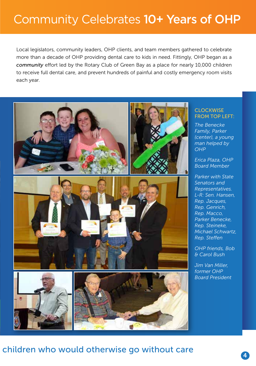### Community Celebrates 10+ Years of OHP

Local legislators, community leaders, OHP clients, and team members gathered to celebrate more than a decade of OHP providing dental care to kids in need. Fittingly, OHP began as a *community* effort led by the Rotary Club of Green Bay as a place for nearly 10,000 children to receive full dental care, and prevent hundreds of painful and costly emergency room visits each year.



#### **CLOCKWISE** FROM TOP LEFT:

*The Benecke Family, Parker (center), a young man helped by* 

*Erica Plaza, OHP Board Member*

*Parker with State Senators and Representatives. L-R: Sen. Hansen, Rep. Jacques, Rep. Genrich, Rep. Macco, Parker Benecke, Rep. Steineke, Michael Schwartz, Rep. Steffen*

*OHP friends, Bob & Carol Bush*

*Jim Van Miller, former OHP Board President*

### children who would otherwise go without care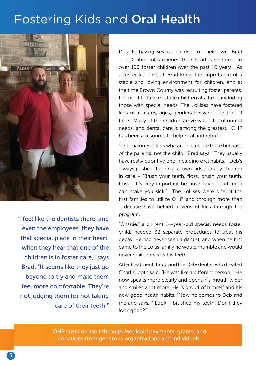### Fostering Kids and Oral Health



"I feel like the dentists there, and even the employees, they have that special place in their heart, when they hear that one of the children is in foster care," says Brad. "It seems like they just go beyond to try and make them feel more comfortable. They're not judging them for not taking care of their teeth."

Despite having several children of their own, Brad and Debbie Lollis opened their hearts and home to over 130 foster children over the past 10 years. As a foster kid himself, Brad knew the importance of a stable and loving environment for children, and at the time Brown County was recruiting foster parents. Licensed to take multiple children at a time, including those with special needs, The Lollises have fostered kids of all races, ages, genders for varied lengths of time. Many of the children arrive with a list of unmet needs, and dental care is among the greatest. OHP has been a resource to help heal and rebuild.

"The majority of kids who are in care are there because of the parents, not the child," Brad says. They usually have really poor hygiene, including oral habits. "Deb's always pushed that on our own kids and any children in care – 'Brush your teeth, floss, brush your teeth, floss.' It's very important because having bad teeth can make you sick." The Lollises were one of the first families to utilize OHP, and through more than a decade have helped dozens of kids through the program.

"Charlie," a current 14-year-old special needs foster child, needed 32 separate procedures to treat his decay. He had never seen a dentist, and when he first came to the Lollis family he would mumble and would never smile or show his teeth.

After treatment, Brad, and the OHP dentist who treated Charlie, both said, "He was like a different person." He now speaks more clearly and opens his mouth wider and smiles a lot more. He is proud of himself and his new good health habits. "Now he comes to Deb and me and says, " Look! I brushed my teeth! Don't they look good?"

OHP sustains itself through Medicaid payments, grants, and donations from generous organizations and individuals.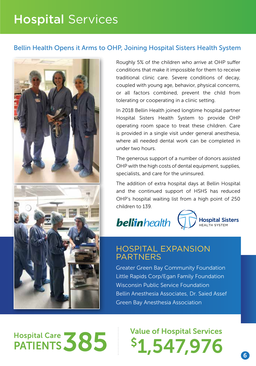### Hospital Services

### Bellin Health Opens it Arms to OHP, Joining Hospital Sisters Health System



Hospital Care **385** 

Roughly 5% of the children who arrive at OHP suffer conditions that make it impossible for them to receive traditional clinic care. Severe conditions of decay, coupled with young age, behavior, physical concerns, or all factors combined, prevent the child from tolerating or cooperating in a clinic setting.

In 2018 Bellin Health joined longtime hospital partner Hospital Sisters Health System to provide OHP operating room space to treat these children. Care is provided in a single visit under general anesthesia, where all needed dental work can be completed in under two hours.

The generous support of a number of donors assisted OHP with the high costs of dental equipment, supplies, specialists, and care for the uninsured.

The addition of extra hospital days at Bellin Hospital and the continued support of HSHS has reduced OHP's hospital waiting list from a high point of 250 children to 139.





### HOSPITAL EXPANSION PARTNERS

Greater Green Bay Community Foundation Little Rapids Corp/Egan Family Foundation Wisconsin Public Service Foundation Bellin Anesthesia Associates, Dr. Saied Assef Green Bay Anesthesia Association

PATIENTS 585 1,547,976 Value of Hospital Services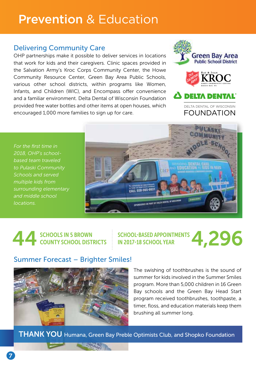### Prevention & Education

### Delivering Community Care

OHP partnerships make it possible to deliver services in locations that work for kids and their caregivers. Clinic spaces provided in the Salvation Army's Kroc Corps Community Center, the Howe Community Resource Center, Green Bay Area Public Schools, various other school districts, within programs like Women, Infants, and Children (WIC), and Encompass offer convenience and a familiar environment. Delta Dental of Wisconsin Foundation provided free water bottles and other items at open houses, which encouraged 1,000 more families to sign up for care.



*For the first time in 2018, OHP's schoolbased team traveled to Pulaski Community Schools and served multiple kids from surrounding elementary and middle school locations.* 



## 44 SCHOOLS IN 5 BROWN COUNTY SCHOOL DISTRICTS

SCHOOL-BASED APPOINTMENTS SCHOOL-BASED APPOINTMENTS<br>IN 2017-18 SCHOOL YEAR

### Summer Forecast – Brighter Smiles!



The swishing of toothbrushes is the sound of summer for kids involved in the Summer Smiles program. More than 5,000 children in 16 Green Bay schools and the Green Bay Head Start program received toothbrushes, toothpaste, a timer, floss, and education materials keep them brushing all summer long.

**THANK YOU** Humana, Green Bay Preble Optimists Club, and Shopko Foundation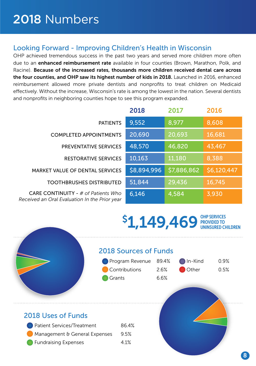### Looking Forward - Improving Children's Health in Wisconsin

OHP achieved tremendous success in the past two years and served more children more often due to an enhanced reimbursement rate available in four counties (Brown, Marathon, Polk, and Racine). Because of the increased rates, thousands more children received dental care across the four counties, and OHP saw its highest number of kids in 2018. Launched in 2016, enhanced reimbursement allowed more private dentists and nonprofits to treat children on Medicaid effectively. Without the increase, Wisconsin's rate is among the lowest in the nation. Several dentists and nonprofits in neighboring counties hope to see this program expanded.

| <b>PATIENTS</b>                        | 9,552       | 8,977                 | 8,608       |
|----------------------------------------|-------------|-----------------------|-------------|
| <b>COMPLETED APPOINTMENTS</b>          | 20,690      | 20,693                | 16,681      |
| <b>PREVENTATIVE SERVICES</b>           | 48,570      | 46,820                | 43,467      |
| <b>RESTORATIVE SERVICES</b>            | 10,163      | 11,180                | 8,388       |
| <b>MARKET VALUE OF DENTAL SERVICES</b> | \$8,894,996 | \$7,886,862           | \$6,120,447 |
| <b>TOOTHBRUSHES DISTRIBUTED</b>        | 51,844      | 29,436                | 16,745      |
| CARE CONTINUITY - $#$ of Patients Who  | 6146        | $\Delta$ 5.8 $\Delta$ | <b>ZAZO</b> |

*Received an Oral Evaluation In the Prior year*

|                                                                                   | 2018        | 2017        | 2016        |
|-----------------------------------------------------------------------------------|-------------|-------------|-------------|
| <b>PATIENTS</b>                                                                   | 9,552       | 8,977       | 8,608       |
| <b>COMPLETED APPOINTMENTS</b>                                                     | 20,690      | 20,693      | 16,681      |
| <b>PREVENTATIVE SERVICES</b>                                                      | 48,570      | 46,820      | 43,467      |
| <b>RESTORATIVE SERVICES</b>                                                       | 10,163      | 11,180      | 8,388       |
| <b>MARKET VALUE OF DENTAL SERVICES</b>                                            | \$8,894,996 | \$7,886,862 | \$6,120,447 |
| <b>TOOTHBRUSHES DISTRIBUTED</b>                                                   | 51,844      | 29,436      | 16,745      |
| CARE CONTINUITY - # of Patients Who<br>eived an Oral Evaluation In the Prior year | 6,146       | 4,584       | 3,930       |

#### **\$1,149,469** PROVIDED TO PROVIDED TO UNINSURED CHILDREN

### 2018 Sources of Funds

|                               | Program Revenue | 89.4% | In-Kind | 0.9% |
|-------------------------------|-----------------|-------|---------|------|
|                               | Contributions   | 2.6%  | Other   | 0.5% |
|                               | Grants          | 6.6%  |         |      |
|                               |                 |       |         |      |
|                               |                 |       |         |      |
|                               |                 |       |         |      |
| 2018 Uses of Funds            |                 |       |         |      |
| Patient Services/Treatment    | 86.4%           |       |         |      |
| Management & General Expenses | 9.5%            |       |         |      |
| <b>Fundraising Expenses</b>   | 4.1%            |       |         |      |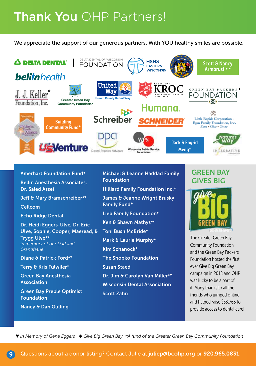### Thank You OHP Partners!

We appreciate the support of our generous partners. With YOU healthy smiles are possible.



Amerhart Foundation Fund◆ Bellin Anesthesia Associates, Dr. Saied Assef Jeff & Mary Bramschreiber<sup>\*\*</sup> Cellcom Echo Ridge Dental Dr. Heidi Eggers-Ulve, Dr. Eric Ulve, Sophie, Cooper, Maeread, & Trygg Ulve◆♥ *in memory of our Dad and Grandfather*  Diane & Patrick Ford\*\* Terry & Kris Fulwiler◆ Green Bay Anesthesia Association Green Bay Preble Optimist

Foundation

Nancy & Dan Gulling

Michael & Leanne Haddad Family Foundation Hilliard Family Foundation Inc.\* James & Jeanne Wright Brusky Family Fund\* Lieb Family Foundation◆ Ken & Shawn Mathys◆♥ Toni Bush McBride◆ Mark & Laurie Murphy<sup>◆</sup> Kim Schanock◆ The Shopko Foundation Susan Staed Dr. Jim & Carolyn Van Miller<sup>\*</sup>\* Wisconsin Dental Association Scott Zahn

### GREEN BAY GIVES BIG



The Greater Green Bay Community Foundation and the Green Bay Packers Foundation hosted the first ever Give Big Green Bay campaign in 2018 and OHP was lucky to be a part of it. Many thanks to all the friends who jumped online and helped raise \$33,765 to provide access to dental care!

♥ *In Memory of Gene Eggers* ◆ *Give Big Green Bay \*A fund of the Greater Green Bay Community Foundation*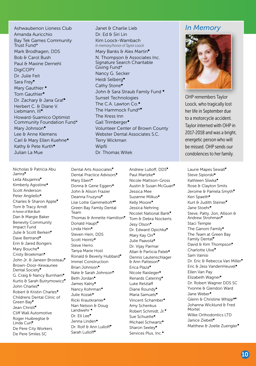Ashwaubenon Lioness Club Amanda Auricchio Bay Tek Games Community Trust Fund\* Mark Brodhagen, DDS Bob & Carol Bush Paul & Maxine Dernehl **DigiCOPY** Dr. Julie Feit Sara Frey♥ Mary Gauthier ◆ Tom Gauthier◆ Dr. Zachary & Jana Graf<sup>◆</sup> Herbert C. & Diane V. Liebmann, III◆ Howard-Suamico Optimist Community Foundation Fund\* Mary Johnson◆ Lee & Anne Klemens Carl & Mary Ellen Kuehne◆ Kathy & Pete Kurth◆ Julian La Mue

Janet & Charlie Lieb Dr. Ed & Siri Lin Kim Loock-Wambach *In memory/honor of Taylor Loock* Mary Banks & Alex Martin<sup>\*</sup> N. Thompson & Associates Inc. Signature Search Charitable Giving Fund\* Nancy G. Secker Heidi Selberg◆ Cathy Stone◆ John & Sara Straub Family Fund <sup>◆</sup> Sunset Technologies The C.A. Lawton Co.◆ The Hammock Fund\* The Kress Inn Gail Trimberger◆ Volunteer Center of Brown County Webster Dental Associates S.C. Terry Wickman Wipfli Dr. Thomas Witek

### *In Memory*



OHP remembers Taylor Loock, who tragically lost her life in September due to a motorcycle accident. Taylor interned with OHP in 2017-2018 and was a bright, energetic person who will be missed. OHP sends our condolences to her family.

Nicholas & Patricia Abu Jamra♥ Leila Abujamra♥ Kimberly Agostine◆ Scott Anderson Peter Angilello◆ Charles & Sharon Apple♥ Tom & Tracy Arndt *In honor of Bob Bush*  Dan & Margie Baker Benevity Community Impact Fund Julie & Scott Berken<sup>\*</sup> Dave Bertrand◆ Erin & Jared Bongers Mary Bouche◆ Cristy Broekman◆ John Jr. & Janeen Brosteau\* Brown-Door-Kewaunee Dental Society♥ G. Craig & Nancy Burnham<sup>\*</sup> Kurtis & Sarah Butrymowicz♥ John Charles<sup>\*</sup> Robert & Kristin Charles◆ Childrens Dental Clinic of Green Bay♥ Jean Christl♥ Cliff Wall Automotive Roger Huibregtse & Linda Curl♥ De Pere City Workers De Pere Smiles SC

Dental Practice Advisors♥ Mary Ebert◆ Donna & Gene Eggers<sup>◆</sup> John & Alison Frazier Deanna Fruzyna♥ Lise Lotte Gammeltoft◆♥ Green Bay Family Dental Team Thomas & Annette Hamilton<sup>\*</sup> Donald Haupt<sup>\*</sup> Linda Hein◆ Steven Hein, DDS Scott Heintz◆ Steve Herro Tanya Marie Host Ronald & Beverly Hubbard♥ Immel Construction Brian Johnson◆ Nate & Sarah Johnson<sup>▼</sup> Beth Jordan◆ James Kalny◆ Nancy Kohrman◆ Julie Kozak◆ Ricki Krautkramer◆ Nan Nelson & Doug Landwehr ◆ Dr. Ell Lee<sup>v</sup> Jenna Linden◆ Dr. Rolf & Ann Lulloff<sup>♥</sup> Sarah Lulloff♥

Dental Arts Associates<sup>\*</sup>

Andrew Lulloff, DDS♥ Paul Martzke◆ Nicole Mattson-Gross Austin & Susan McGuan<sup>\*</sup> Jessica Mee Suzanne Milkus◆ Kelly Moore◆ Jessica Nehring Nicolet National Bank♥ Tom & Debra Nockerts Jesy Olson◆ Dr. Edward Opichka<sup>\*</sup> Mary Kay Orr<sup>\*</sup> Julie Paavola◆ Dr. Vijay Parmar Allan & Particia Patek◆ Dennis Lautenschlager & Ann Patteson♥ Erica Plaza◆ Nicole Raisleger◆ Renards Catering◆ Luke Retzlaff Diane Roundy◆ Maria Samuels♥ Vincent Schamber◆ Amy Schenkus Robert Schmidt, Jr.♥ Sue Schuette◆ Michael Schwartz◆ Sharon Seeley♥ Services Plus, Inc.◆

Laurie Mapes Sewall♥ Steve Sipiorski◆ Kathleen Sliwka◆ Rose & Clayton Smits Jerome & Pamela Smyth<sup>\*</sup> Keri Spaeth◆ Kurt & Judith Steiner<sup>\*</sup> Jane Stoehr<sup>®</sup> Steve, Patty, Jon, Allison & Andrew Strohman♥ Staci Temple The Ganoni Family◆ The Team at Green Bay Family Dental<sup>♥</sup> David & Kim Thompson<sup>♥</sup> Charlotte Ulve<sup>\*</sup> Sam Vainisi Dr. Eric & Rebecca Van Miller<sup>♥</sup> Eric & Jess VandenHeuvel◆ Ellen Van Pay Elizabeth Wagner♥ Dr. Robert Wagner DDS SC Yvonne & Glendon Ward Jane Weber◆ Glenn & Christine Whipp◆♥ Johanna Wicklund & Fred Mortel Wilke Orthodontics LTD Janice Ziebell<sup>\*</sup> Matthew & Joelle Zuengler<sup>•</sup>